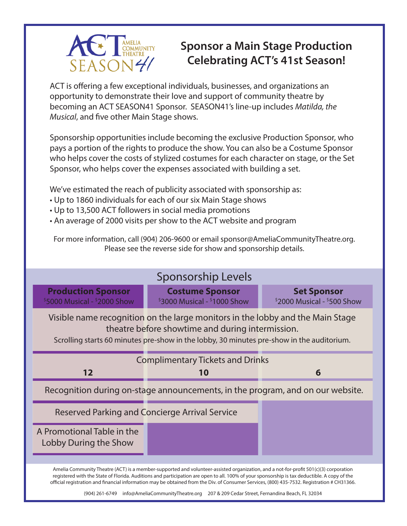

# **Sponsor a Main Stage Production Celebrating ACT's 41st Season!**

ACT is offering a few exceptional individuals, businesses, and organizations an opportunity to demonstrate their love and support of community theatre by becoming an ACT SEASON41 Sponsor. SEASON41's line-up includes *Matilda, the Musical*, and five other Main Stage shows.

Sponsorship opportunities include becoming the exclusive Production Sponsor, who pays a portion of the rights to produce the show. You can also be a Costume Sponsor who helps cover the costs of stylized costumes for each character on stage, or the Set Sponsor, who helps cover the expenses associated with building a set.

We've estimated the reach of publicity associated with sponsorship as:

- Up to 1860 individuals for each of our six Main Stage shows
- Up to 13,500 ACT followers in social media promotions
- An average of 2000 visits per show to the ACT website and program

For more information, call (904) 206-9600 or email sponsor@AmeliaCommunityTheatre.org. Please see the reverse side for show and sponsorship details.

| <b>Sponsorship Levels</b>                                                                                                                                                                                                       |                                                          |                                                     |  |  |  |  |  |
|---------------------------------------------------------------------------------------------------------------------------------------------------------------------------------------------------------------------------------|----------------------------------------------------------|-----------------------------------------------------|--|--|--|--|--|
| <b>Production Sponsor</b><br>$$5000$ Musical - $$2000$ Show                                                                                                                                                                     | <b>Costume Sponsor</b><br>$$3000$ Musical - $$1000$ Show | <b>Set Sponsor</b><br>$$2000$ Musical - $$500$ Show |  |  |  |  |  |
| Visible name recognition on the large monitors in the lobby and the Main Stage<br>theatre before showtime and during intermission.<br>Scrolling starts 60 minutes pre-show in the lobby, 30 minutes pre-show in the auditorium. |                                                          |                                                     |  |  |  |  |  |
| <b>Complimentary Tickets and Drinks</b>                                                                                                                                                                                         |                                                          |                                                     |  |  |  |  |  |
| 12                                                                                                                                                                                                                              | 10                                                       | 6                                                   |  |  |  |  |  |
| Recognition during on-stage announcements, in the program, and on our website.                                                                                                                                                  |                                                          |                                                     |  |  |  |  |  |
|                                                                                                                                                                                                                                 |                                                          |                                                     |  |  |  |  |  |
|                                                                                                                                                                                                                                 | Reserved Parking and Concierge Arrival Service           |                                                     |  |  |  |  |  |
| A Promotional Table in the<br>Lobby During the Show                                                                                                                                                                             |                                                          |                                                     |  |  |  |  |  |

(904) 261-6749 info@AmeliaCommunityTheatre.org 207 & 209 Cedar Street, Fernandina Beach, FL 32034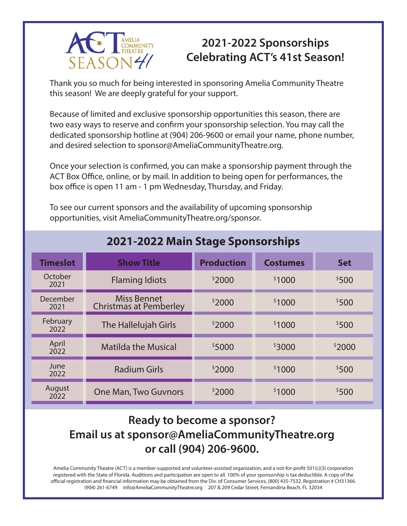

#### **2021-2022 Sponsorships Celebrating ACT's 41st Season!**

Thank you so much for being interested in sponsoring Amelia Community Theatre this season! We are deeply grateful for your support.

Because of limited and exclusive sponsorship opportunities this season, there are two easy ways to reserve and confirm your sponsorship selection. You may call the dedicated sponsorship hotline at (904) 206-9600 or email your name, phone number, and desired selection to sponsor@AmeliaCommunityTheatre.org.

Once your selection is confirmed, you can make a sponsorship payment through the ACT Box Office, online, or by mail. In addition to being open for performances, the box office is open 11 am - 1 pm Wednesday, Thursday, and Friday.

To see our current sponsors and the availability of upcoming sponsorship opportunities, visit AmeliaCommunityTheatre.org/sponsor.

| <b>Timeslot</b>  | <b>Show Title</b>                                   | <b>Production</b> | <b>Costumes</b> | <b>Set</b> |
|------------------|-----------------------------------------------------|-------------------|-----------------|------------|
| October<br>2021  | <b>Flaming Idiots</b>                               | \$2000            | \$1000          | \$500      |
| December<br>2021 | <b>Miss Bennet</b><br><b>Christmas at Pemberley</b> | \$2000            | \$1000          | \$500      |
| February<br>2022 | The Hallelujah Girls                                | \$2000            | \$1000          | \$500      |
| April<br>2022    | <b>Matilda the Musical</b>                          | \$5000            | \$3000          | \$2000     |
| June<br>2022     | <b>Radium Girls</b>                                 | \$2000            | \$1000          | \$500      |
| August<br>2022   | <b>One Man, Two Guvnors</b>                         | \$2000            | \$1000          | \$500      |

#### **2021-2022 Main Stage Sponsorships**

### **Ready to become a sponsor? Email us at sponsor@AmeliaCommunityTheatre.org or call (904) 206-9600.**

Amelia Community Theatre (ACT) is a member-supported and volunteer-assisted organization, and a not-for-profit 501(c)(3) corporation registered with the State of Florida. Auditions and participation are open to all. 100% of your sponsorship is tax deductible. A copy of the official registration and financial information may be obtained from the Div. of Consumer Services, (800) 435-7532. Registration # CH31366. (904) 261-6749 info@AmeliaCommunityTheatre.org 207 & 209 Cedar Street, Fernandina Beach, FL 32034